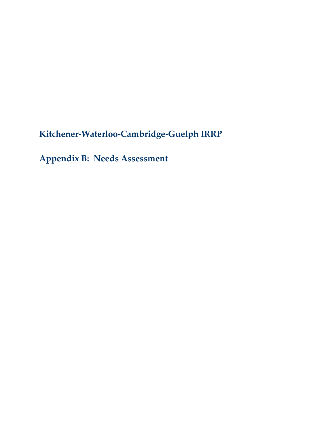**Kitchener-Waterloo-Cambridge-Guelph IRRP**

**Appendix B: Needs Assessment**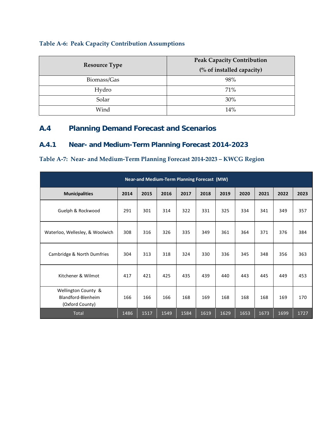### **Table A-6: Peak Capacity Contribution Assumptions**

| <b>Resource Type</b> | <b>Peak Capacity Contribution</b><br>(% of installed capacity) |
|----------------------|----------------------------------------------------------------|
| Biomass/Gas          | 98%                                                            |
| Hydro                | 71%                                                            |
| Solar                | 30%                                                            |
| Wind                 | 14%                                                            |

# <span id="page-21-0"></span>**A.4 Planning Demand Forecast and Scenarios**

### **A.4.1 Near- and Medium-Term Planning Forecast 2014-2023**

### **Table A-7: Near- and Medium-Term Planning Forecast 2014-2023 – KWCG Region**

| Near-and Medium-Term Planning Forecast (MW)                  |      |      |      |      |      |      |      |      |      |      |
|--------------------------------------------------------------|------|------|------|------|------|------|------|------|------|------|
| <b>Municipalities</b>                                        | 2014 | 2015 | 2016 | 2017 | 2018 | 2019 | 2020 | 2021 | 2022 | 2023 |
| Guelph & Rockwood                                            | 291  | 301  | 314  | 322  | 331  | 325  | 334  | 341  | 349  | 357  |
| Waterloo, Wellesley, & Woolwich                              | 308  | 316  | 326  | 335  | 349  | 361  | 364  | 371  | 376  | 384  |
| Cambridge & North Dumfries                                   | 304  | 313  | 318  | 324  | 330  | 336  | 345  | 348  | 356  | 363  |
| Kitchener & Wilmot                                           | 417  | 421  | 425  | 435  | 439  | 440  | 443  | 445  | 449  | 453  |
| Wellington County &<br>Blandford-Blenheim<br>(Oxford County) | 166  | 166  | 166  | 168  | 169  | 168  | 168  | 168  | 169  | 170  |
| <b>Total</b>                                                 | 1486 | 1517 | 1549 | 1584 | 1619 | 1629 | 1653 | 1673 | 1699 | 1727 |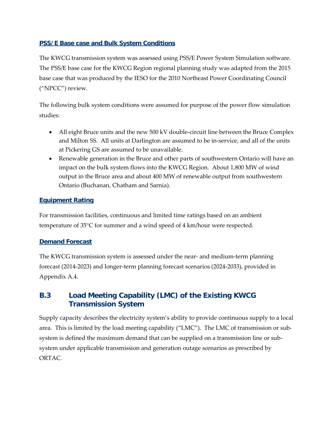### **PSS/E Base case and Bulk System Conditions**

The KWCG transmission system was assessed using PSS/E Power System Simulation software. The PSS/E base case for the KWCG Region regional planning study was adapted from the 2015 base case that was produced by the IESO for the 2010 Northeast Power Coordinating Council ("NPCC") review.

The following bulk system conditions were assumed for purpose of the power flow simulation studies:

- All eight Bruce units and the new 500 kV double-circuit line between the Bruce Complex and Milton SS. All units at Darlington are assumed to be in-service, and all of the units at Pickering GS are assumed to be unavailable.
- Renewable generation in the Bruce and other parts of southwestern Ontario will have an impact on the bulk system flows into the KWCG Region. About 1,800 MW of wind output in the Bruce area and about 400 MW of renewable output from southwestern Ontario (Buchanan, Chatham and Sarnia).

### **Equipment Rating**

For transmission facilities, continuous and limited time ratings based on an ambient temperature of 35°C for summer and a wind speed of 4 km/hour were respected.

### **Demand Forecast**

The KWCG transmission system is assessed under the near- and medium-term planning forecast (2014-2023) and longer-term planning forecast scenarios (2024-2033), provided in Appendix [A.4.](#page-21-0)

# **B.3 Load Meeting Capability (LMC) of the Existing KWCG Transmission System**

Supply capacity describes the electricity system's ability to provide continuous supply to a local area. This is limited by the load meeting capability ("LMC"). The LMC of transmission or subsystem is defined the maximum demand that can be supplied on a transmission line or subsystem under applicable transmission and generation outage scenarios as prescribed by ORTAC.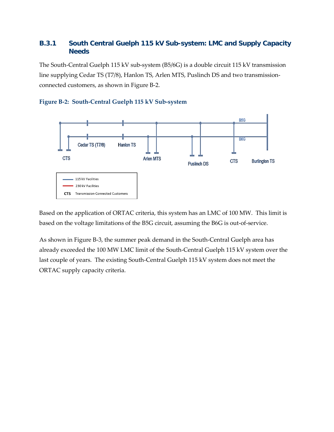## **B.3.1 South Central Guelph 115 kV Sub-system: LMC and Supply Capacity Needs**

The South-Central Guelph 115 kV sub-system (B5/6G) is a double circuit 115 kV transmission line supplying Cedar TS (T7/8), Hanlon TS, Arlen MTS, Puslinch DS and two transmissionconnected customers, as shown in [Figure B-2.](#page-27-0)

<span id="page-27-0"></span>



Based on the application of ORTAC criteria, this system has an LMC of 100 MW. This limit is based on the voltage limitations of the B5G circuit, assuming the B6G is out-of-service.

As shown i[n Figure B-3,](#page-28-0) the summer peak demand in the South-Central Guelph area has already exceeded the 100 MW LMC limit of the South-Central Guelph 115 kV system over the last couple of years. The existing South-Central Guelph 115 kV system does not meet the ORTAC supply capacity criteria.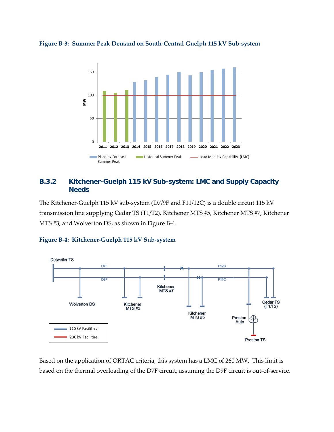<span id="page-28-0"></span>



### **B.3.2 Kitchener-Guelph 115 kV Sub-system: LMC and Supply Capacity Needs**

The Kitchener-Guelph 115 kV sub-system (D7/9F and F11/12C) is a double circuit 115 kV transmission line supplying Cedar TS (T1/T2), Kitchener MTS #5, Kitchener MTS #7, Kitchener MTS #3, and Wolverton DS, as shown in [Figure B-4.](#page-28-1)



### <span id="page-28-1"></span>**Figure B-4: Kitchener-Guelph 115 kV Sub-system**

Based on the application of ORTAC criteria, this system has a LMC of 260 MW. This limit is based on the thermal overloading of the D7F circuit, assuming the D9F circuit is out-of-service.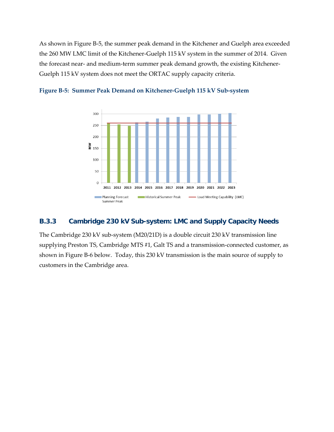As shown i[n Figure B-5,](#page-29-0) the summer peak demand in the Kitchener and Guelph area exceeded the 260 MW LMC limit of the Kitchener-Guelph 115 kV system in the summer of 2014. Given the forecast near- and medium-term summer peak demand growth, the existing Kitchener-Guelph 115 kV system does not meet the ORTAC supply capacity criteria.



<span id="page-29-0"></span>

### **B.3.3 Cambridge 230 kV Sub-system: LMC and Supply Capacity Needs**

The Cambridge 230 kV sub-system (M20/21D) is a double circuit 230 kV transmission line supplying Preston TS, Cambridge MTS #1, Galt TS and a transmission-connected customer, as shown i[n Figure B-6](#page-30-0) below. Today, this 230 kV transmission is the main source of supply to customers in the Cambridge area.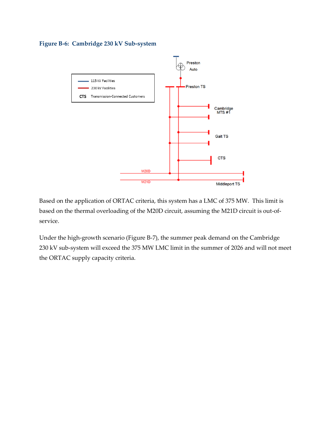<span id="page-30-0"></span>**Figure B-6: Cambridge 230 kV Sub-system**



Based on the application of ORTAC criteria, this system has a LMC of 375 MW. This limit is based on the thermal overloading of the M20D circuit, assuming the M21D circuit is out-ofservice.

Under the high-growth scenario [\(Figure B-7\)](#page-31-0), the summer peak demand on the Cambridge 230 kV sub-system will exceed the 375 MW LMC limit in the summer of 2026 and will not meet the ORTAC supply capacity criteria.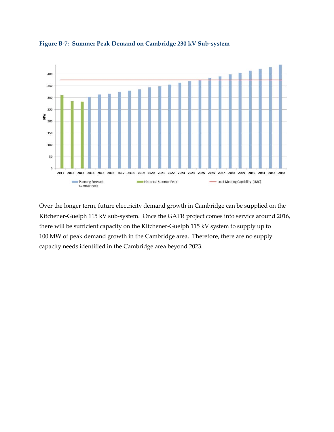

<span id="page-31-0"></span>**Figure B-7: Summer Peak Demand on Cambridge 230 kV Sub-system** 

Over the longer term, future electricity demand growth in Cambridge can be supplied on the Kitchener-Guelph 115 kV sub-system. Once the GATR project comes into service around 2016, there will be sufficient capacity on the Kitchener-Guelph 115 kV system to supply up to 100 MW of peak demand growth in the Cambridge area. Therefore, there are no supply capacity needs identified in the Cambridge area beyond 2023.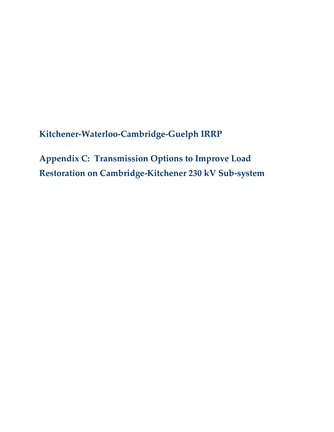**Kitchener-Waterloo-Cambridge-Guelph IRRP**

**Appendix C: Transmission Options to Improve Load Restoration on Cambridge-Kitchener 230 kV Sub-system**